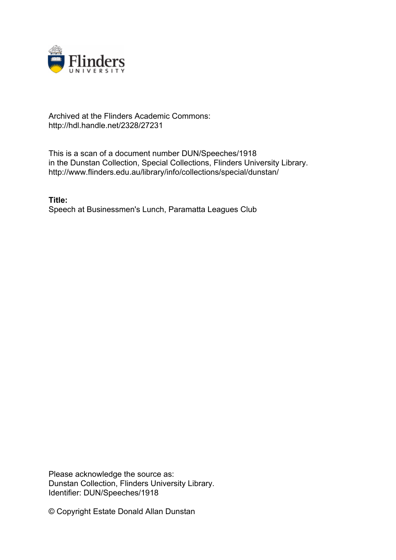

## Archived at the Flinders Academic Commons: http://hdl.handle.net/2328/27231

This is a scan of a document number DUN/Speeches/1918 in the Dunstan Collection, Special Collections, Flinders University Library. http://www.flinders.edu.au/library/info/collections/special/dunstan/

**Title:** Speech at Businessmen's Lunch, Paramatta Leagues Club

Please acknowledge the source as: Dunstan Collection, Flinders University Library. Identifier: DUN/Speeches/1918

© Copyright Estate Donald Allan Dunstan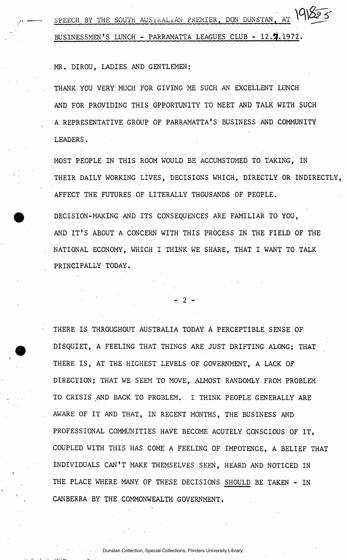SPEECH BY THE SOUTH AUSTRALIAN PREMIER, DON DUNSTAN, AT 191855 **BUSINESSMEN'S LUNCH - PARRAMATTA LEAGUES CLUB - 12 . 9 .1972 .** 

**MR. DIROU, LADIES AND GENTLEMEN;** 

**THANK YOU VERY MUCH FOR GIVING ME SUCH AN EXCELLENT LUNCH AND FOR PROVIDING THIS OPPORTUNITY TO MEET AND TALK WITH SUCH A REPRESENTATIVE GROUP OF PARRAMATTA'S BUSINESS AND COMMUNITY LEADERS.** 

**MOST PEOPLE IN THIS ROOM WOULD BE ACCUMSTOMED TO TAKING, IN THEIR DAILY WORKING LIVES, DECISIONS WHICH, DIRECTLY OR INDIRECTLY, AFFECT THE FUTURES OF LITERALLY THOUSANDS OF PEOPLE.** 

**DECISION-MAKING AND ITS CONSEQUENCES ARE FAMILIAR TO YOU, AND IT' S ABOUT A CONCERN WITH THIS PROCESS IN THE FIELD OF THE NATIONAL.ECONOMY, WHICH I THINK WE SHARE, THAT I WANT TO TALK PRINCIPALLY TODAY.** 

- 2 -

**THERE IS THROUGHOUT AUSTRALIA TODAY A PERCEPTIBLE SENSE OF DISQUIET, A FEELING THAT THINGS ARE JUST DRIFTING ALONG; THAT THERE IS , AT THE HIGHEST LEVELS OF GOVERNMENT, A LACK OF DIRECTION; THAT WE SEEM TO MOVE,.:ALMOST RANDOMLY FROM PROBLEM TO CRISIS AND BACK TO PROBLEM. I THINK PEOPLE GENERALLY ARE AWARE OF IT AND THAT, IN RECENT MONTHS, THE BUSINESS AND PROFESSIONAL COMMUNITIES HAVE BECOME ACUTELY CONSCIOUS OF IT, COUPLED WITH THIS HAS COME A FEELING OF IMPOTENCE, A BELIEF THAT INDIVIDUALS CAN'T MAKE THEMSELVES.SEEN, HEARD AND NOTICED IN THE PLACE WHERE MANY OF THESE DECISIONS SHOULD BE TAKEN - IN CANBERRA BY THE COMMONWEALTH GOVERNMENT.**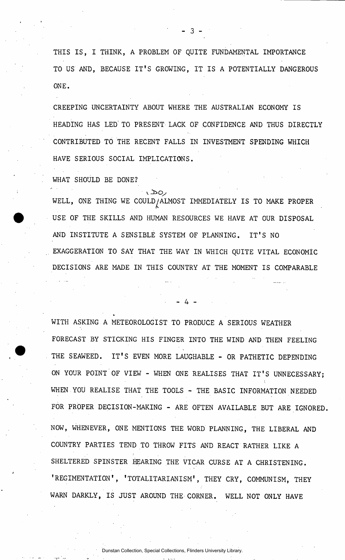**THIS IS , I THINK, A PROBLEM OF QUITE FUNDAMENTAL IMPORTANCE TO US AND, BECAUSE IT' S GROWING, IT I S A POTENTIALLY DANGEROUS ONE.** 

**- 3 -**

**CREEPING UNCERTAINTY ABOUT WHERE THE AUSTRALIAN ECONOMY IS HEADING HAS LED' TO PRESENT LACK OF CONFIDENCE AND THUS DIRECTLY CONTRIBUTED TO THE RECENT FALLS IN INVESTMENT SPENDING WHICH HAVE SERIOUS SOCIAL IMPLICATIONS.** 

**WHAT SHOULD BE DONE?** 

رەھ) WELL, ONE THING WE COULD/ALMOST IMMEDIATELY IS TO MAKE PROPER **USE OF THE SKILLS AND HUMAN RESOURCES WE HAVE AT OUR DISPOSAL AND INSTITUTE A SENSIBLE SYSTEM OF PLANNING. IT' S NO EXAGGERATION TO SAY THAT THE WAY IN WHICH QUITE VITAL ECONOMIC DECISIONS ARE MADE IN THIS COUNTRY AT THE MOMENT IS COMPARABLE** 

**. 4 \_** 

**WITH ASKING A METEOROLOGIST TO PRODUCE A SERIOUS WEATHER FORECAST BY STICKING HIS FINGER INTO THE WIND AND THEN FEELING THE SEAWEED. IT' S EVEN MORE LAUGHABLE - OR PATHETIC DEPENDING ON YOUR POINT OF VIEW - WHEN ONE REALISES THAT IT' S UNNECESSARY; WHEN YOU REALISE THAT THE TOOLS - THE BASIC INFORMATION NEEDED FOR PROPER DECISION-MAKING - ARE OFTEN AVAILABLE BUT ARE IGNORED. NOW, WHENEVER, ONE MENTIONS THE WORD PLANNING, THE LIBERAL AND COUNTRY PARTIES TEND TO THROW FITS AND REACT RATHER LIKE A SHELTERED SPINSTER HEARING THE VICAR CURSE AT A CHRISTENING. 'REGIMENTATION', 'TOTALITARIANISM', THEY CRY, COMMUNISM, THEY WARN DARKLY, IS JUST AROUND THE CORNER. WELL NOT ONLY HAVE**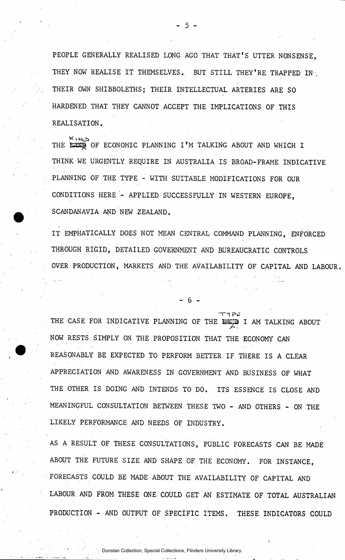**PEOPLE GENERALLY REALISED LONG AGO THAT THAT'S UTTER NONSENSE, THEY NOW REALISE IT THEMSELVES. BUT STILL THEY'RE TRAPPED IN-, THEIR OWN SHIBBOLETHS; THEIR INTELLECTUAL ARTERIES ARE SO HARDENED THAT THEY CANNOT ACCEPT THE IMPLICATIONS OF THIS REALISATION.** 

 $5<sup>1</sup>$ 

 $K_1$ K $\infty$ THE EXER OF ECONOMIC PLANNING I'M TALKING ABOUT AND WHICH I **THINK WE URGENTLY REQUIRE IN AUSTRALIA IS BROAD-FRAME INDICATIVE PLANNING OF THE TYPE - WITH SUITABLE MODIFICATIONS FOR OUR CONDITIONS HERE - APPLIED SUCCESSFULLY IN WESTERN EUROPE, SCANDANAVIA AND NEW ZEALAND.** 

**IT EMPHATICALLY DOES NOT MEAN CENTRAL COMMAND PLANNING, ENFORCED THROUGH RIGID, DETAILED GOVERNMENT AND BUREAUCRATIC CONTROLS**  OVER PRODUCTION, MARKETS AND THE AVAILABILITY OF CAPITAL AND LABOUR.

- 6 -

THE CASE FOR INDICATIVE PLANNING OF THE EEP I AM TALKING ABOUT **NOW RESTS SIMPLY ON THE PROPOSITION THAT THE ECONOMY CAN**  REASONABLY BE EXPECTED TO PERFORM BETTER IF THERE IS A CLEAR **APPRECIATION AND AWARENESS IN GOVERNMENT AND BUSINESS OF WHAT THE.OTHER IS DOING AND INTENDS TO DO. ITS ESSENCE IS CLOSE AND MEANINGFUL CONSULTATION BETWEEN THESE TWO - AND OTHERS - ON THE LIKELY PERFORMANCE AND NEEDS OF INDUSTRY.** 

**AS A RESULT OF THESE CONSULTATIONS, PUBLIC FORECASTS CAN BE MADE ABOUT THE FUTURE SIZE AND SHAPE OF THE ECONOMY. FOR INSTANCE, FORECASTS COULD BE MADE ABOUT THE AVAILABILITY OF CAPITAL AND LABOUR AND FROM THESE ONE COULD GET AN ESTIMATE OF TOTAL AUSTRALIAN PRODUCTION - AND OUTPUT OF SPECIFIC ITEMS. THESE INDICATORS COULD**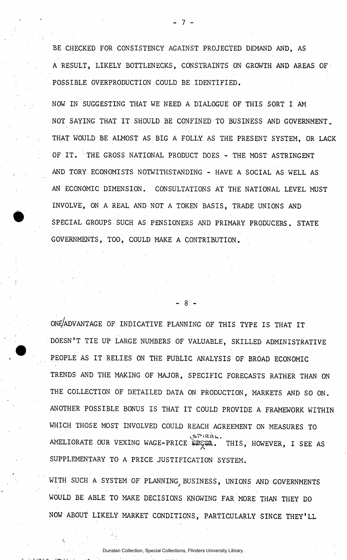**BE CHECKED FOR CONSISTENCY AGAINST PROJECTED DEMAND AND, AS A RESULT, LIKELY BOTTLENECKS, CONSTRAINTS ON GROWTH AND AREAS OF . POSSIBLE OVERPRODUCTION COULD BE IDENTIFIED.** 

**NOW IN SUGGESTING THAT WE NEED A DIALOGUE OF THIS SORT.I AM NOT SAYING THAT IT SHOULD BE CONFINED TO BUSINESS AND GOVERNMENT \_ THAT WOULD BE ALMOST AS BIG A FOLLY AS THE PRESENT SYSTEM, OR LACK OF IT . THE GROSS NATIONAL PRODUCT DOES - THE MOST ASTRINGENT AND TORY ECONOMISTS NOTWITHSTANDING - HAVE A SOCIAL AS WELL AS AN ECONOMIC DIMENSION. CONSULTATIONS AT THE NATIONAL LEVEL MUST INVOLVE, ON A REAL AND NOT A TOKEN BASIS, TRADE UNIONS AND SPECIAL GROUPS SUCH AS PENSIONERS AND PRIMARY PRODUCERS. STATE GOVERNMENTS, TOO, COULD MAKE A CONTRIBUTION.** 

ONE/ADVANTAGE OF INDICATIVE PLANNING OF THIS TYPE IS THAT IT DOESN'T TIE UP LARGE NUMBERS OF VALUABLE, SKILLED ADMINISTRATIVE **PEOPLE AS IT RELIES ON THE PUBLIC ANALYSIS OF BROAD ECONOMIC TRENDS AND THE MAKING OF MAJOR, SPECIFIC FORECASTS RATHER THAN ON THE COLLECTION OF DETAILED DATA ON PRODUCTION, MARKETS AND SO ON. ANOTHER POSSIBLE BONUS IS THAT IT COULD PROVIDE A FRAMEWORK WITHIN WHICH THOSE MOST INVOLVED COULD REACH AGREEMENT ON MEASURES TO**  AMELIORATE OUR VEXING WAGE-PRICE EECEL. THIS, HOWEVER, I SEE AS **SUPPLEMENTARY TO A PRICE JUSTIFICATION SYSTEM.** 

- 8 -

**WITH SUCH A SYSTEM OF PLANNING, BUSINESS, UNIONS AND GOVERNMENTS WOULD BE ABLE TO MAKE DECISIONS KNOWING FAR MORE THAN THEY DO NOW ABOUT LIKELY MARKET CONDITIONS, PARTICULARLY SINCE THEY'LL**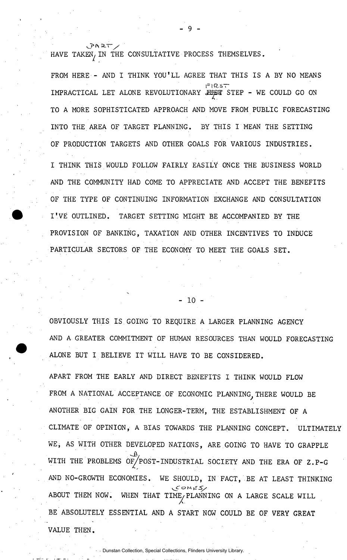**a.— / HAVE TAKEN/IN THE CONSULTATIVE PROCESS THEMSELVES.** 

**FROM HERE - AND I THINK YOU'LL AGREE THAT THIS IS A BY NO MEANS**  IMPRACTICAL LET ALONE REVOLUTIONARY JUST STEP - WE COULD GO ON **IMPRACTICAL LET ALONE REVOLUTIONARY JHp r STEP - WE COULD GO ON**  TO A MORE SOPHISTICATED APPROACH AND MOVE FROM PUBLIC FORECASTING **TO A MORE SOPHISTICATED APPROACH AND MOVE FROM PUBLIC FORECASTING**  INTO THE AREA OF TARGET PLANNING. BY THIS I MEAN THE SETTING **INTO THE AREA OF TARGET PLANNING. BY THIS I MEAN THE SETTING**  OF PRODUCTION TARGETS AND OTHER GOALS FOR VARIOUS INDUSTRIES.

**I THINK THIS WOULD FOLLOW FAIRLY EASILY ONCE THE BUSINESS WORLD AND THE COMMUNITY HAD COME TO APPRECIATE AND ACCEPT THE BENEFITS OF THE TYPE OF CONTINUING INFORMATION EXCHANGE AND CONSULTATION I'V E OUTLINED. TARGET SETTING MIGHT BE ACCOMPANIED BY THE PROVISION OF BANKING, TAXATION AND OTHER INCENTIVES TO INDUCE PARTICULAR SECTORS OF THE ECONOMY TO MEET THE GOALS SET.** 

**OF PRODUCTION TARGETS AND OTHER GOALS FOR VARIOUS INDUSTRIES.** 

**OBVIOUSLY THIS IS.GOING TO REQUIRE A LARGER PLANNING AGENCY AND A GREATER COMMITMENT OF HUMAN RESOURCES THAN WOULD FORECASTING ALONE BUT I BELIEVE IT WILL HAVE TO BE CONSIDERED.** 

- 10 -

**APART FROM THE EARLY AND DIRECT BENEFITS I THINK WOULD FLOW**  FROM A NATIONAL ACCEPTANCE OF ECONOMIC PLANNING, THERE WOULD BE **ANOTHER BIG GAIN FOR THE LONGER-TERM, THE ESTABLISHMENT OF A CLIMATE OF OPINION, A BIAS TOWARDS THE PLANNING CONCEPT. ULTIMATELY WE, AS WITH OTHER DEVELOPED NATIONS, ARE.GOING TO HAVE TO GRAPPLE**  WITH THE PROBLEMS OF/POST-INDUSTRIAL SOCIETY AND THE ERA OF Z.P-G **AND NO-GROWTH ECONOMIES. WE SHOULD, IN FACT, BE AT LEAST THINKING vjfT** *Sy*  ABOUT THEM NOW. WHEN THAT TIME, PLANNING ON A LARGE SCALE WILL **ABOUT THEM NOW. WHEN THAT TIME/PLANNING ON A LARGE SCALE WILL**  BE ABSOLUTELY ESSENTIAL AND A START NOW COULD BE OF VERY GREAT **BE ABSOLUTELY ESSENTIAL AND A START NOW COULD BE OF VERY GREAT**  VALUE THEN.

Dunstan Collection, Special Collections, Flinders University Library.

**VALUE THEN.**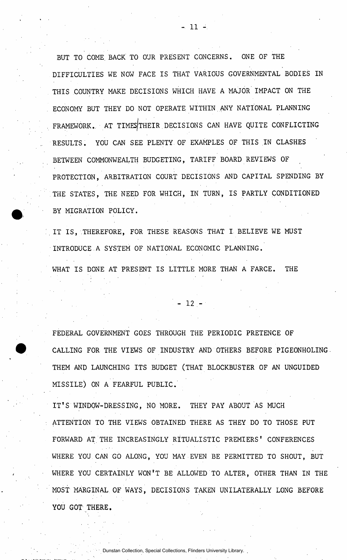**BUT TO COME. BACK TO OUR PRESENT CONCERNS. ONE OF THE DIFFICULTIES WE NOW FACE IS THAT VARIOUS GOVERNMENTAL BODIES IN THIS COUNTRY MAKE DECISIONS WHICH HAVE A MAJOR IMPACT ON THE ECONOMY BUT THEY DO NOT OPERATE WITHIN .ANY NATIONAL PLANNING**  FRAMEWORK. AT TIMES THEIR DECISIONS CAN HAVE QUITE CONFLICTING **RESULTS. YOU CAN SEE PLENTY.OF EXAMPLES OF THIS IN CLASHES BETWEEN COMMONWEALTH BUDGETING, TARIFF BOARD REVIEWS OF PROTECTION, ARBITRATION COURT DECISIONS AND CAPITAL SPENDING BY THE STATES, THE NEED FOR WHICH, IN TURN, IS PARTLY CONDITIONED BY MIGRATION POLICY.** 

**IT IS , THEREFORE, FOR THESE REASONS THAT I BELIEVE WE MUST INTRODUCE.A SYSTEM OF NATIONAL ECONOMIC PLANNING.** 

WHAT IS DONE AT PRESENT IS LITTLE MORE THAN A FARCE. THE

**- 1 2 -**

**FEDERAL GOVERNMENT GOES THROUGH THE PERIODIC PRETENCE OF CALLING FOR THE VIEWS OF INDUSTRY AND OTHERS BEFORE PIGEONHOLING-THEM AND LAUNCHING ITS BUDGET (THAT BLOCKBUSTER OF AN UNGUIDED MISSILE) ON A FEARFUL PUBLIC.** 

**IT' S WINDOW-DRESSING, NO MORE. THEY PAY ABOUT AS MUCH ATTENTION TO THE VIEWS OBTAINED THERE AS THEY DO TO THOSE PUT FORWARD AT. THE INCREASINGLY RITUALISTIC PREMIERS' CONFERENCES WHERE YOU CAN GO ALONG, YOU MAY EVEN BE PERMITTED TO SHOUT, BUT WHERE YOU CERTAINLY WON'T BE ALLOWED TO ALTER, OTHER THAN IN THE MOST MARGINAL OF WAYS, DECISIONS TAKEN UNILATERALLY LONG BEFORE YOU GOT THERE.**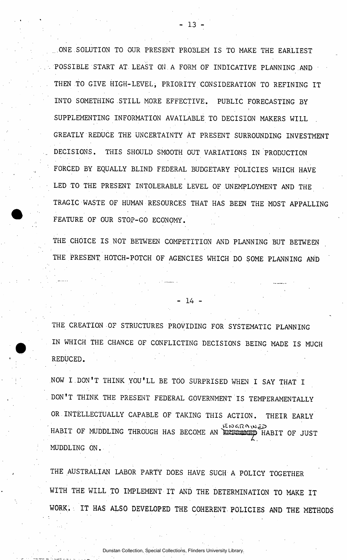ONE SOLUTION TO OUR PRESENT PROBLEM IS TO MAKE THE EARLIEST **. POSSIBLE START AT. LEAST ON .A FORM OF INDICATIVE PLANNING AND . THEN TO GIVE HIGH-LEVEL, PRIORITY CONSIDERATION TO REFINING IT INTO SOMETHING STILL MORE EFFECTIVE. PUBLIC FORECASTING BY SUPPLEMENTING INFORMATION AVAILABLE TO DECISION MAKERS WILL GREATLY REDUCE THE UNCERTAINTY AT PRESENT SURROUNDING INVESTMENT . DECISIONS. THIS SHOULD SMOOTH OUT VARIATIONS IN PRODUCTION FORCED BY EQUALLY BLIND FEDERAL BUDGETARY POLICIES WHICH HAVE LED TO THE PRESENT INTOLERABLE LEVEL OF UNEMPLOYMENT AND THE TRAGIC WASTE OF HUMAN RESOURCES THAT HAS BEEN THE MOST APPALLING FEATURE OF OUR STOP-GO ECONOMY.** 

THE CHOICE IS NOT BETWEEN COMPETITION AND PLANNING BUT BETWEEN **THE PRESENT HOTCH-POTCH OF AGENCIES WHICH DO SOME PLANNING AND** 

**THE CREATION OF STRUCTURES PROVIDING FOR SYSTEMATIC PLANNING IN WHICH THE CHANCE OF CONFLICTING DECISIONS BEING MADE IS MUCH REDUCED.** 

**- 1 4 -**

**NOW I.DON'T THINK YOU'LL BE TOO SURPRISED WHEN I SAY THAT I DON'T THINK THE PRESENT FEDERAL GOVERNMENT IS TEMPERAMENTALLY OR INTELLECTUALLY CAPABLE OF TAKING THIS ACTION. THEIR EARLY HABIT OF MUDDLING THROUGH HAS BECOME AN EXTERNATED HABIT OF JUST MUDDLING ON.** 

**THE AUSTRALIAN LABOR PARTY DOES HAVE SUCH A POLICY TOGETHER WITH THE WILL TO IMPLEMENT IT AND THE DETERMINATION TO MAKE IT WORK. IT HAS ALSO DEVELOPED THE COHERENT. POLICIES AND THE METHODS**